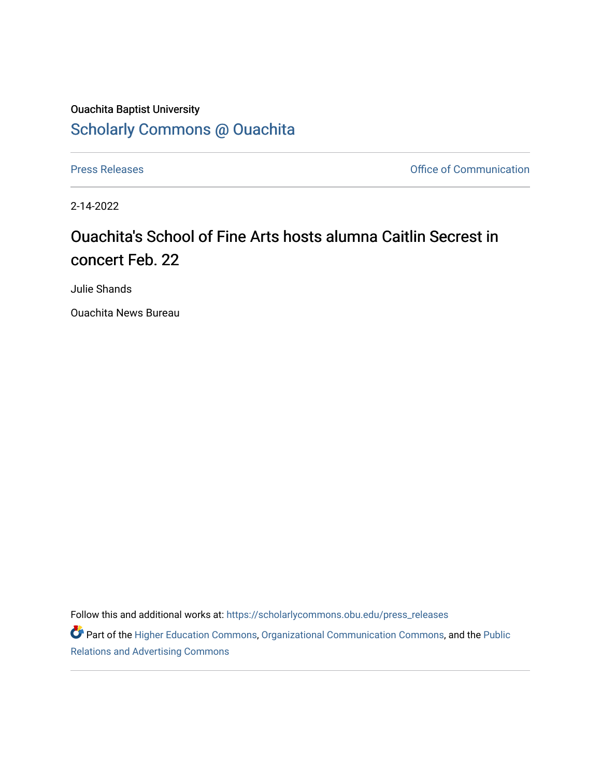## Ouachita Baptist University [Scholarly Commons @ Ouachita](https://scholarlycommons.obu.edu/)

[Press Releases](https://scholarlycommons.obu.edu/press_releases) **Press Releases Communication** 

2-14-2022

## Ouachita's School of Fine Arts hosts alumna Caitlin Secrest in concert Feb. 22

Julie Shands

Ouachita News Bureau

Follow this and additional works at: [https://scholarlycommons.obu.edu/press\\_releases](https://scholarlycommons.obu.edu/press_releases?utm_source=scholarlycommons.obu.edu%2Fpress_releases%2F1052&utm_medium=PDF&utm_campaign=PDFCoverPages)

Part of the [Higher Education Commons,](http://network.bepress.com/hgg/discipline/1245?utm_source=scholarlycommons.obu.edu%2Fpress_releases%2F1052&utm_medium=PDF&utm_campaign=PDFCoverPages) [Organizational Communication Commons,](http://network.bepress.com/hgg/discipline/335?utm_source=scholarlycommons.obu.edu%2Fpress_releases%2F1052&utm_medium=PDF&utm_campaign=PDFCoverPages) and the [Public](http://network.bepress.com/hgg/discipline/336?utm_source=scholarlycommons.obu.edu%2Fpress_releases%2F1052&utm_medium=PDF&utm_campaign=PDFCoverPages) [Relations and Advertising Commons](http://network.bepress.com/hgg/discipline/336?utm_source=scholarlycommons.obu.edu%2Fpress_releases%2F1052&utm_medium=PDF&utm_campaign=PDFCoverPages)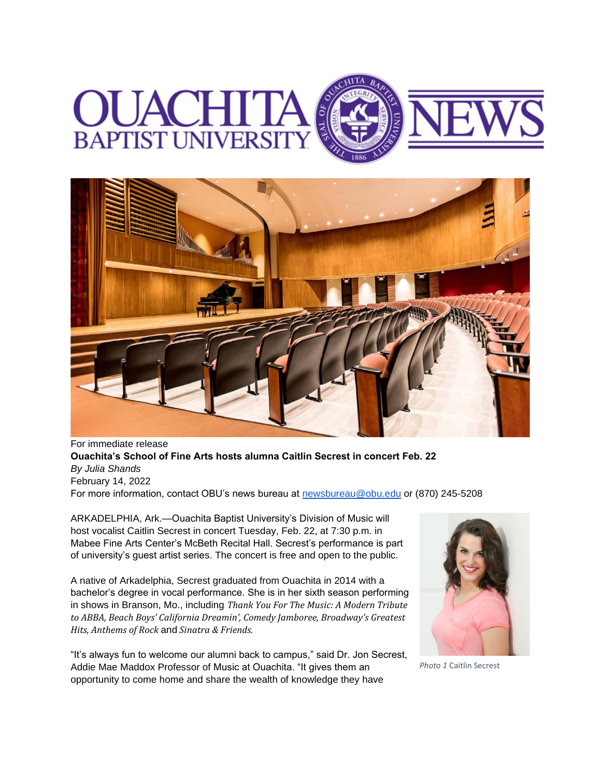## **BAPTIST UNIVERS**



For immediate release **Ouachita's School of Fine Arts hosts alumna Caitlin Secrest in concert Feb. 22** *By Julia Shands* February 14, 2022 For more information, contact OBU's news bureau at [newsbureau@obu.edu](mailto:newsbureau@obu.edu) or (870) 245-5208

ARKADELPHIA, Ark.—Ouachita Baptist University's Division of Music will host vocalist Caitlin Secrest in concert Tuesday, Feb. 22, at 7:30 p.m. in Mabee Fine Arts Center's McBeth Recital Hall. Secrest's performance is part of university's guest artist series. The concert is free and open to the public.

A native of Arkadelphia, Secrest graduated from Ouachita in 2014 with a bachelor's degree in vocal performance. She is in her sixth season performing in shows in Branson, Mo., including *Thank You For The Music: A Modern Tribute to ABBA, Beach Boys' California Dreamin', Comedy Jamboree, Broadway's Greatest Hits, Anthems of Rock* and *Sinatra & Friends.*

"It's always fun to welcome our alumni back to campus," said Dr. Jon Secrest, Addie Mae Maddox Professor of Music at Ouachita. "It gives them an opportunity to come home and share the wealth of knowledge they have



*Photo 1* Caitlin Secrest